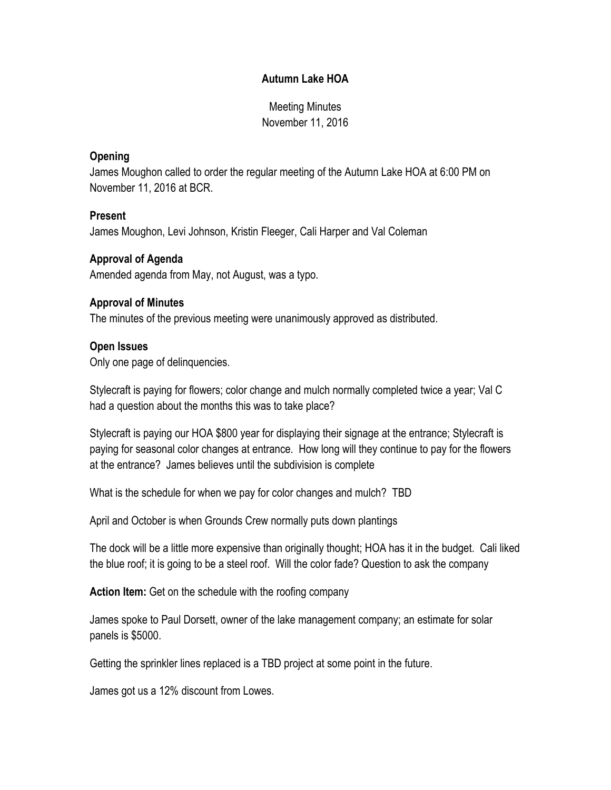# **Autumn Lake HOA**

Meeting Minutes November 11, 2016

#### **Opening**

James Moughon called to order the regular meeting of the Autumn Lake HOA at 6:00 PM on November 11, 2016 at BCR.

#### **Present**

James Moughon, Levi Johnson, Kristin Fleeger, Cali Harper and Val Coleman

## **Approval of Agenda**

Amended agenda from May, not August, was a typo.

#### **Approval of Minutes**

The minutes of the previous meeting were unanimously approved as distributed.

## **Open Issues**

Only one page of delinquencies.

Stylecraft is paying for flowers; color change and mulch normally completed twice a year; Val C had a question about the months this was to take place?

Stylecraft is paying our HOA \$800 year for displaying their signage at the entrance; Stylecraft is paying for seasonal color changes at entrance. How long will they continue to pay for the flowers at the entrance? James believes until the subdivision is complete

What is the schedule for when we pay for color changes and mulch? TBD

April and October is when Grounds Crew normally puts down plantings

The dock will be a little more expensive than originally thought; HOA has it in the budget. Cali liked the blue roof; it is going to be a steel roof. Will the color fade? Question to ask the company

**Action Item:** Get on the schedule with the roofing company

James spoke to Paul Dorsett, owner of the lake management company; an estimate for solar panels is \$5000.

Getting the sprinkler lines replaced is a TBD project at some point in the future.

James got us a 12% discount from Lowes.